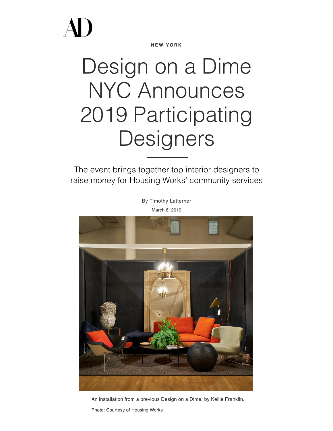**N E W Y O R K**

## Design on a Dime NYC Announces 2019 Participating Designers

The event brings together top interior designers to raise money for Housing Works' community services

> By [Timothy Latterner](https://www.architecturaldigest.com/contributor/timothy-latterner) March 6, 2019



An installation from a previous Design on a Dime, by Kellie Franklin.

Photo: Courtesy of Housing Works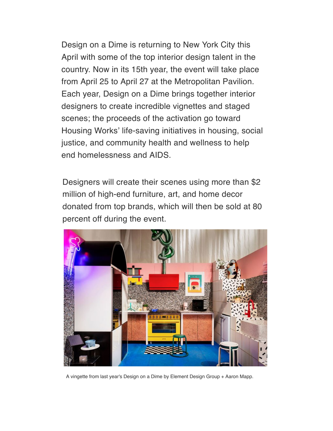[Design on a Dime](https://www.architecturaldigest.com/story/housing-works-design-on-a-dime-huniford) is returning to New York City this April with some of the top [interior design](https://www.architecturaldigest.com/story/drake-anderson-ad-apartment-architectural-digest-design-show) talent in the country. Now in its 15th year, the event will take place from April 25 to April 27 at the Metropolitan Pavilion. Each year, Design on a Dime brings together interior designers to create incredible vignettes and staged scenes; the proceeds of the activation go toward Housing Works' life-saving initiatives in housing, social justice, and community health and wellness to help end homelessness and AIDS.

Designers will create their scenes using more than \$2 million of high-end furniture, art, and home decor donated from top brands, which will then be sold at 80 percent off during the event.



A vingette from last year's Design on a Dime by Element Design Group + Aaron Mapp.